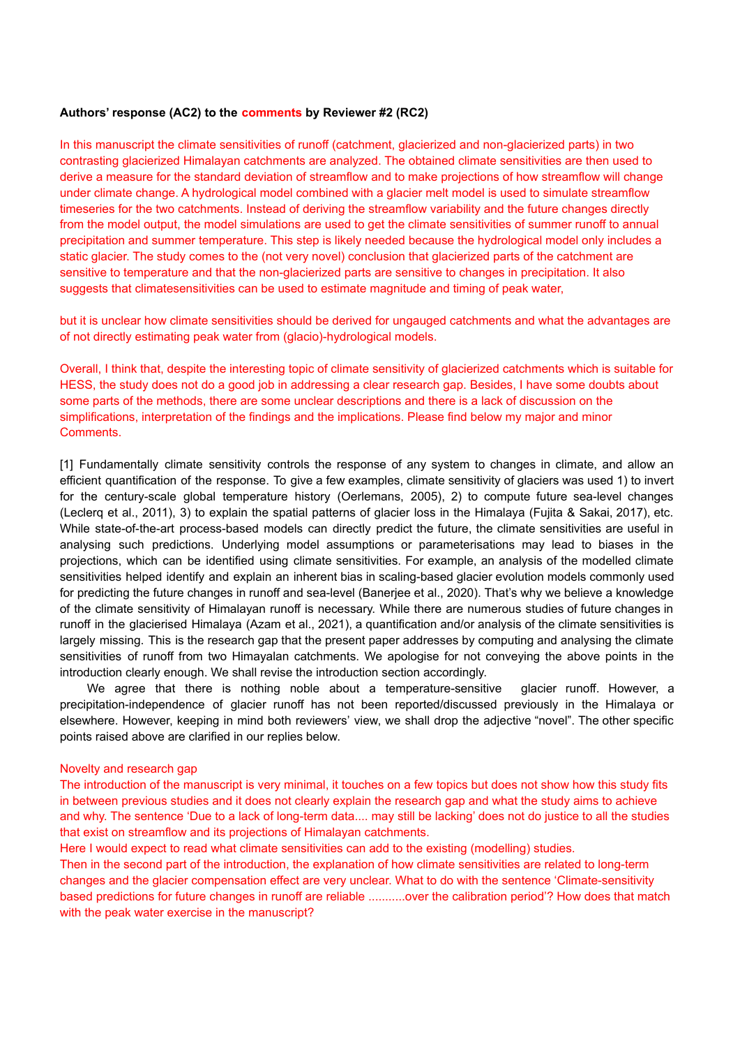#### **Authors' response (AC2) to the comments by Reviewer #2 (RC2)**

In this manuscript the climate sensitivities of runoff (catchment, glacierized and non-glacierized parts) in two contrasting glacierized Himalayan catchments are analyzed. The obtained climate sensitivities are then used to derive a measure for the standard deviation of streamflow and to make projections of how streamflow will change under climate change. A hydrological model combined with a glacier melt model is used to simulate streamflow timeseries for the two catchments. Instead of deriving the streamflow variability and the future changes directly from the model output, the model simulations are used to get the climate sensitivities of summer runoff to annual precipitation and summer temperature. This step is likely needed because the hydrological model only includes a static glacier. The study comes to the (not very novel) conclusion that glacierized parts of the catchment are sensitive to temperature and that the non-glacierized parts are sensitive to changes in precipitation. It also suggests that climatesensitivities can be used to estimate magnitude and timing of peak water,

but it is unclear how climate sensitivities should be derived for ungauged catchments and what the advantages are of not directly estimating peak water from (glacio)-hydrological models.

Overall, I think that, despite the interesting topic of climate sensitivity of glacierized catchments which is suitable for HESS, the study does not do a good job in addressing a clear research gap. Besides, I have some doubts about some parts of the methods, there are some unclear descriptions and there is a lack of discussion on the simplifications, interpretation of the findings and the implications. Please find below my major and minor Comments.

[1] Fundamentally climate sensitivity controls the response of any system to changes in climate, and allow an efficient quantification of the response. To give a few examples, climate sensitivity of glaciers was used 1) to invert for the century-scale global temperature history (Oerlemans, 2005), 2) to compute future sea-level changes (Leclerq et al., 2011), 3) to explain the spatial patterns of glacier loss in the Himalaya (Fujita & Sakai, 2017), etc. While state-of-the-art process-based models can directly predict the future, the climate sensitivities are useful in analysing such predictions. Underlying model assumptions or parameterisations may lead to biases in the projections, which can be identified using climate sensitivities. For example, an analysis of the modelled climate sensitivities helped identify and explain an inherent bias in scaling-based glacier evolution models commonly used for predicting the future changes in runoff and sea-level (Banerjee et al., 2020). That's why we believe a knowledge of the climate sensitivity of Himalayan runoff is necessary. While there are numerous studies of future changes in runoff in the glacierised Himalaya (Azam et al., 2021), a quantification and/or analysis of the climate sensitivities is largely missing. This is the research gap that the present paper addresses by computing and analysing the climate sensitivities of runoff from two Himayalan catchments. We apologise for not conveying the above points in the introduction clearly enough. We shall revise the introduction section accordingly.

We agree that there is nothing noble about a temperature-sensitive glacier runoff. However, a precipitation-independence of glacier runoff has not been reported/discussed previously in the Himalaya or elsewhere. However, keeping in mind both reviewers' view, we shall drop the adjective "novel". The other specific points raised above are clarified in our replies below.

#### Novelty and research gap

The introduction of the manuscript is very minimal, it touches on a few topics but does not show how this study fits in between previous studies and it does not clearly explain the research gap and what the study aims to achieve and why. The sentence 'Due to a lack of long-term data.... may still be lacking' does not do justice to all the studies that exist on streamflow and its projections of Himalayan catchments.

Here I would expect to read what climate sensitivities can add to the existing (modelling) studies. Then in the second part of the introduction, the explanation of how climate sensitivities are related to long-term changes and the glacier compensation effect are very unclear. What to do with the sentence 'Climate-sensitivity based predictions for future changes in runoff are reliable ...........over the calibration period'? How does that match with the peak water exercise in the manuscript?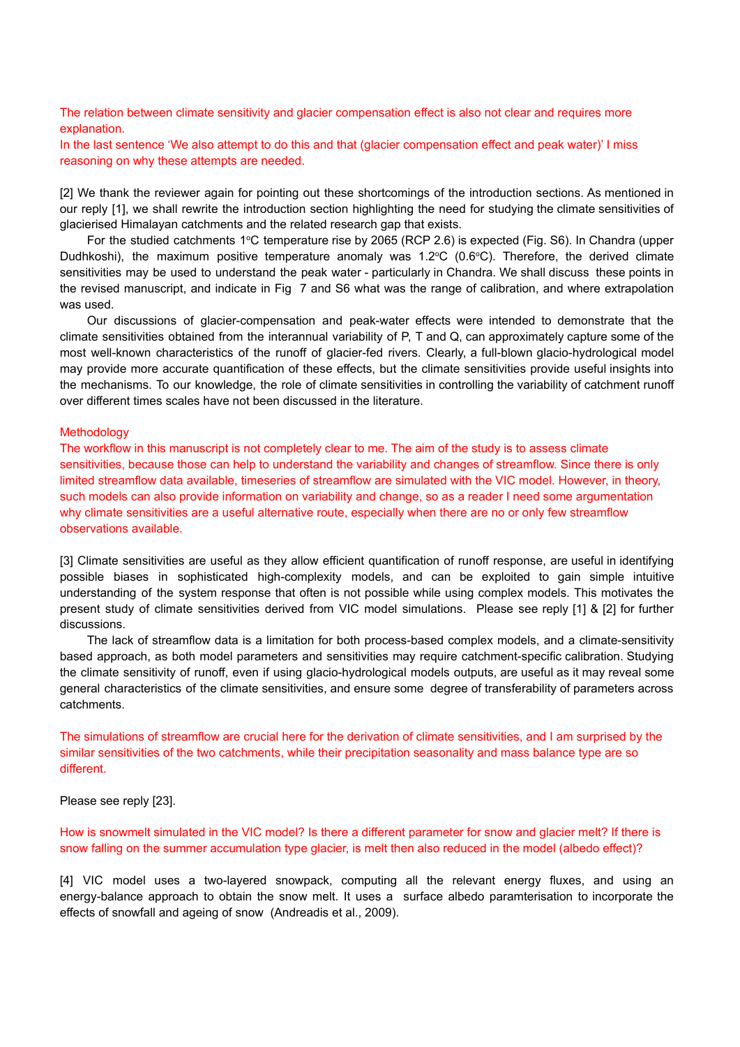The relation between climate sensitivity and glacier compensation effect is also not clear and requires more explanation.

In the last sentence 'We also attempt to do this and that (glacier compensation effect and peak water)' I miss reasoning on why these attempts are needed.

[2] We thank the reviewer again for pointing out these shortcomings of the introduction sections. As mentioned in our reply [1], we shall rewrite the introduction section highlighting the need for studying the climate sensitivities of glacierised Himalayan catchments and the related research gap that exists.

For the studied catchments 1°C temperature rise by 2065 (RCP 2.6) is expected (Fig. S6). In Chandra (upper Dudhkoshi), the maximum positive temperature anomaly was  $1.2^{\circ}C$  (0.6 $^{\circ}C$ ). Therefore, the derived climate sensitivities may be used to understand the peak water - particularly in Chandra. We shall discuss these points in the revised manuscript, and indicate in Fig 7 and S6 what was the range of calibration, and where extrapolation was used.

Our discussions of glacier-compensation and peak-water effects were intended to demonstrate that the climate sensitivities obtained from the interannual variability of P, T and Q, can approximately capture some of the most well-known characteristics of the runoff of glacier-fed rivers. Clearly, a full-blown glacio-hydrological model may provide more accurate quantification of these effects, but the climate sensitivities provide useful insights into the mechanisms. To our knowledge, the role of climate sensitivities in controlling the variability of catchment runoff over different times scales have not been discussed in the literature.

#### **Methodology**

The workflow in this manuscript is not completely clear to me. The aim of the study is to assess climate sensitivities, because those can help to understand the variability and changes of streamflow. Since there is only limited streamflow data available, timeseries of streamflow are simulated with the VIC model. However, in theory, such models can also provide information on variability and change, so as a reader I need some argumentation why climate sensitivities are a useful alternative route, especially when there are no or only few streamflow observations available.

[3] Climate sensitivities are useful as they allow efficient quantification of runoff response, are useful in identifying possible biases in sophisticated high-complexity models, and can be exploited to gain simple intuitive understanding of the system response that often is not possible while using complex models. This motivates the present study of climate sensitivities derived from VIC model simulations. Please see reply [1] & [2] for further discussions.

The lack of streamflow data is a limitation for both process-based complex models, and a climate-sensitivity based approach, as both model parameters and sensitivities may require catchment-specific calibration. Studying the climate sensitivity of runoff, even if using glacio-hydrological models outputs, are useful as it may reveal some general characteristics of the climate sensitivities, and ensure some degree of transferability of parameters across catchments.

The simulations of streamflow are crucial here for the derivation of climate sensitivities, and I am surprised by the similar sensitivities of the two catchments, while their precipitation seasonality and mass balance type are so different.

Please see reply [23].

How is snowmelt simulated in the VIC model? Is there a different parameter for snow and glacier melt? If there is snow falling on the summer accumulation type glacier, is melt then also reduced in the model (albedo effect)?

[4] VIC model uses a two-layered snowpack, computing all the relevant energy fluxes, and using an energy-balance approach to obtain the snow melt. It uses a surface albedo paramterisation to incorporate the effects of snowfall and ageing of snow (Andreadis et al., 2009).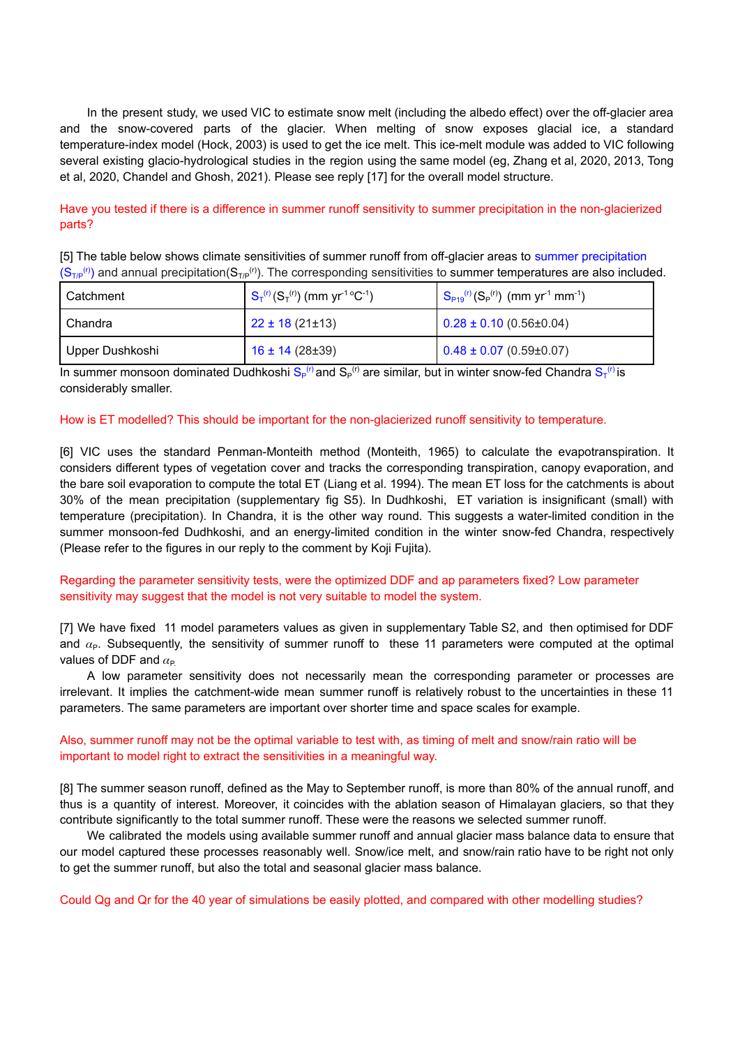In the present study, we used VIC to estimate snow melt (including the albedo effect) over the off-glacier area and the snow-covered parts of the glacier. When melting of snow exposes glacial ice, a standard temperature-index model (Hock, 2003) is used to get the ice melt. This ice-melt module was added to VIC following several existing glacio-hydrological studies in the region using the same model (eg, Zhang et al, 2020, 2013, Tong et al, 2020, Chandel and Ghosh, 2021). Please see reply [17] for the overall model structure.

# Have you tested if there is a difference in summer runoff sensitivity to summer precipitation in the non-glacierized parts?

[5] The table below shows climate sensitivities of summer runoff from off-glacier areas to summer precipitation  $(S_{\tau/P}^{(r)})$  and annual precipitation( $S_{\tau/P}^{(r)}$ ). The corresponding sensitivities to summer temperatures are also included.

| l Catchment.    | $S_T^{(r)}(S_T^{(r)})$ (mm yr <sup>-1</sup> °C <sup>-1</sup> ) | $S_{P19}^{(r)}(S_P^{(r)})$ (mm yr <sup>-1</sup> mm <sup>-1</sup> ) |
|-----------------|----------------------------------------------------------------|--------------------------------------------------------------------|
| I Chandra       | $22 \pm 18 (21 \pm 13)$                                        | $0.28 \pm 0.10$ (0.56±0.04)                                        |
| Upper Dushkoshi | $16 \pm 14$ (28 $\pm$ 39)                                      | $0.48 \pm 0.07$ (0.59±0.07)                                        |

In summer monsoon dominated Dudhkoshi S<sub>P</sub><sup>(r)</sup> and S<sub>P</sub><sup>(r)</sup> are similar, but in winter snow-fed Chandra S<sub>T</sub><sup>(r)</sup> is considerably smaller.

#### How is ET modelled? This should be important for the non-glacierized runoff sensitivity to temperature.

[6] VIC uses the standard Penman-Monteith method (Monteith, 1965) to calculate the evapotranspiration. It considers different types of vegetation cover and tracks the corresponding transpiration, canopy evaporation, and the bare soil evaporation to compute the total ET (Liang et al. 1994). The mean ET loss for the catchments is about 30% of the mean precipitation (supplementary fig S5). In Dudhkoshi, ET variation is insignificant (small) with temperature (precipitation). In Chandra, it is the other way round. This suggests a water-limited condition in the summer monsoon-fed Dudhkoshi, and an energy-limited condition in the winter snow-fed Chandra, respectively (Please refer to the figures in our reply to the comment by Koji Fujita).

# Regarding the parameter sensitivity tests, were the optimized DDF and ap parameters fixed? Low parameter sensitivity may suggest that the model is not very suitable to model the system.

[7] We have fixed 11 model parameters values as given in supplementary Table S2, and then optimised for DDF and  $\alpha_{P}$ . Subsequently, the sensitivity of summer runoff to these 11 parameters were computed at the optimal values of DDF and  $\alpha_{\rm P}$ .

A low parameter sensitivity does not necessarily mean the corresponding parameter or processes are irrelevant. It implies the catchment-wide mean summer runoff is relatively robust to the uncertainties in these 11 parameters. The same parameters are important over shorter time and space scales for example.

# Also, summer runoff may not be the optimal variable to test with, as timing of melt and snow/rain ratio will be important to model right to extract the sensitivities in a meaningful way.

[8] The summer season runoff, defined as the May to September runoff, is more than 80% of the annual runoff, and thus is a quantity of interest. Moreover, it coincides with the ablation season of Himalayan glaciers, so that they contribute significantly to the total summer runoff. These were the reasons we selected summer runoff.

We calibrated the models using available summer runoff and annual glacier mass balance data to ensure that our model captured these processes reasonably well. Snow/ice melt, and snow/rain ratio have to be right not only to get the summer runoff, but also the total and seasonal glacier mass balance.

Could Qg and Qr for the 40 year of simulations be easily plotted, and compared with other modelling studies?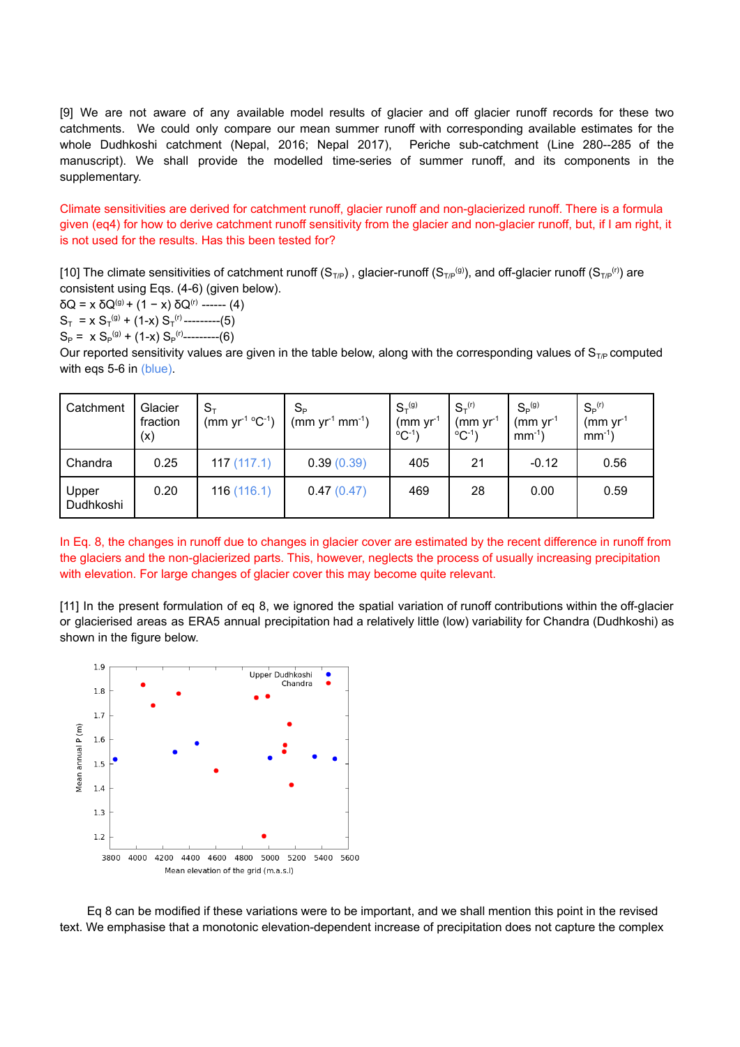[9] We are not aware of any available model results of glacier and off glacier runoff records for these two catchments. We could only compare our mean summer runoff with corresponding available estimates for the whole Dudhkoshi catchment (Nepal, 2016; Nepal 2017), Periche sub-catchment (Line 280--285 of the manuscript). We shall provide the modelled time-series of summer runoff, and its components in the supplementary.

Climate sensitivities are derived for catchment runoff, glacier runoff and non-glacierized runoff. There is a formula given (eq4) for how to derive catchment runoff sensitivity from the glacier and non-glacier runoff, but, if I am right, it is not used for the results. Has this been tested for?

[10] The climate sensitivities of catchment runoff (S<sub>T/P</sub>), glacier-runoff (S<sub>T/P</sub><sup>(g)</sup>), and off-glacier runoff (S<sub>T/P</sub><sup>(r)</sup>) are consistent using Eqs. (4-6) (given below).

 $δQ = x δQ<sup>(g)</sup> + (1 - x) δQ<sup>(r)</sup>$  ------ (4)  $S_T = x S_T^{(g)} + (1-x) S_T^{(r)}$ ---------(5)  $S_P$  =  $\int x S_P^{(g)} + (1-x) S_P^{(r)}$ ---------(6)

Our reported sensitivity values are given in the table below, along with the corresponding values of  $S_{\text{TP}}$  computed with eqs 5-6 in (blue).

| Catchment          | Glacier<br>fraction<br>(x) | $S_{\scriptscriptstyle{\overline{1}}}$<br>(mm $yr^{-1}$ °C <sup>-1</sup> ) | $S_{\rm p}$<br>$(mm yr-1 mm-1)$ | $S_T^{(g)}$<br>$(mm)$ yr <sup>-1</sup><br>$^{\circ}$ C <sup>-1</sup> ) | $S_{\tau}^{(r)}$<br>$(mm)$ yr <sup>1</sup><br>$^{\circ}$ C <sup>-1</sup> | $S_{\rm p}^{(g)}$<br>$\rm (mm\ yr^1$<br>$mm^{-1}$ ) | $S_P$ <sup>(r)</sup><br>$\text{mm} \text{ yr}^1$<br>$mm^{-1}$ ) |
|--------------------|----------------------------|----------------------------------------------------------------------------|---------------------------------|------------------------------------------------------------------------|--------------------------------------------------------------------------|-----------------------------------------------------|-----------------------------------------------------------------|
| Chandra            | 0.25                       | 117(117.1)                                                                 | 0.39(0.39)                      | 405                                                                    | 21                                                                       | $-0.12$                                             | 0.56                                                            |
| Upper<br>Dudhkoshi | 0.20                       | 116(116.1)                                                                 | 0.47(0.47)                      | 469                                                                    | 28                                                                       | 0.00                                                | 0.59                                                            |

In Eq. 8, the changes in runoff due to changes in glacier cover are estimated by the recent difference in runoff from the glaciers and the non-glacierized parts. This, however, neglects the process of usually increasing precipitation with elevation. For large changes of glacier cover this may become quite relevant.

[11] In the present formulation of eq 8, we ignored the spatial variation of runoff contributions within the off-glacier or glacierised areas as ERA5 annual precipitation had a relatively little (low) variability for Chandra (Dudhkoshi) as shown in the figure below.



Eq 8 can be modified if these variations were to be important, and we shall mention this point in the revised text. We emphasise that a monotonic elevation-dependent increase of precipitation does not capture the complex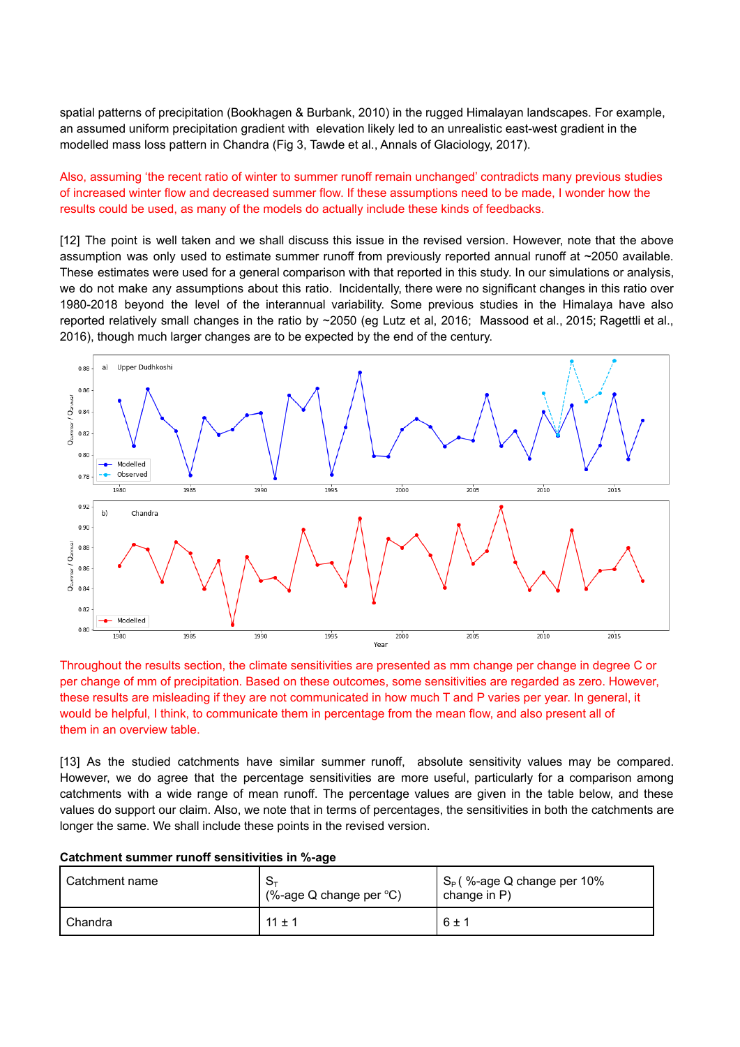spatial patterns of precipitation (Bookhagen & Burbank, 2010) in the rugged Himalayan landscapes. For example, an assumed uniform precipitation gradient with elevation likely led to an unrealistic east-west gradient in the modelled mass loss pattern in Chandra (Fig 3, Tawde et al., Annals of Glaciology, 2017).

# Also, assuming 'the recent ratio of winter to summer runoff remain unchanged' contradicts many previous studies of increased winter flow and decreased summer flow. If these assumptions need to be made, I wonder how the results could be used, as many of the models do actually include these kinds of feedbacks.

[12] The point is well taken and we shall discuss this issue in the revised version. However, note that the above assumption was only used to estimate summer runoff from previously reported annual runoff at ~2050 available. These estimates were used for a general comparison with that reported in this study. In our simulations or analysis, we do not make any assumptions about this ratio. Incidentally, there were no significant changes in this ratio over 1980-2018 beyond the level of the interannual variability. Some previous studies in the Himalaya have also reported relatively small changes in the ratio by ~2050 (eg Lutz et al, 2016; Massood et al., 2015; Ragettli et al., 2016), though much larger changes are to be expected by the end of the century.



Throughout the results section, the climate sensitivities are presented as mm change per change in degree C or per change of mm of precipitation. Based on these outcomes, some sensitivities are regarded as zero. However, these results are misleading if they are not communicated in how much T and P varies per year. In general, it would be helpful, I think, to communicate them in percentage from the mean flow, and also present all of them in an overview table.

[13] As the studied catchments have similar summer runoff, absolute sensitivity values may be compared. However, we do agree that the percentage sensitivities are more useful, particularly for a comparison among catchments with a wide range of mean runoff. The percentage values are given in the table below, and these values do support our claim. Also, we note that in terms of percentages, the sensitivities in both the catchments are longer the same. We shall include these points in the revised version.

| <sup>1</sup> Catchment name | $S_{\tau}$<br>(%-age Q change per $°C$ ) | $\mathsf{I} \mathsf{S}_{\mathsf{P}}$ (%-age Q change per 10%<br>change in P) |
|-----------------------------|------------------------------------------|------------------------------------------------------------------------------|
| I Chandra                   | $11 \pm 1$                               | $6 \pm 1$                                                                    |

#### **Catchment summer runoff sensitivities in %-age**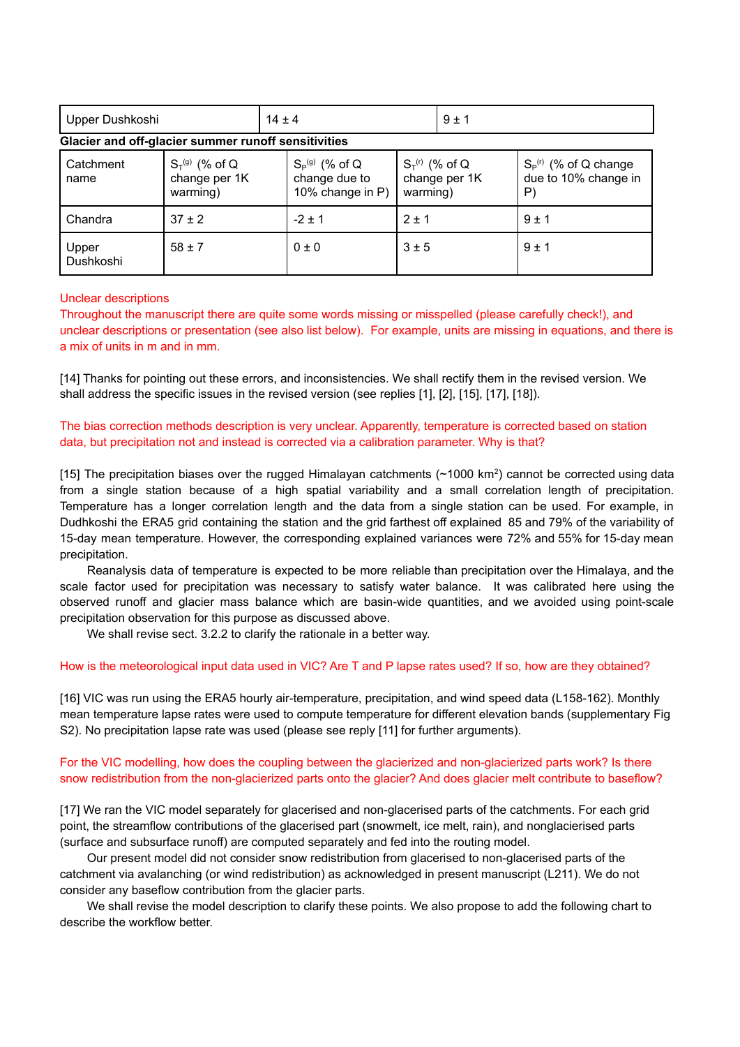| Upper Dushkoshi   |                                                     | $14 \pm 4$                                                          | $9 \pm 1$                            |                                                                        |
|-------------------|-----------------------------------------------------|---------------------------------------------------------------------|--------------------------------------|------------------------------------------------------------------------|
|                   | Glacier and off-glacier summer runoff sensitivities |                                                                     |                                      |                                                                        |
| Catchment<br>name | $S_T^{(g)}$ (% of Q<br>change per 1K<br>. 1         | $S_P^{(g)}$ (% of Q<br>change due to<br>$400$ there is $\mathbb{R}$ | $S_T^{(r)}$ (% of Q<br>change per 1K | $\mathsf{S}_{\mathsf{P}}^{(r)}$ (% of Q change<br>due to 10% change in |

| ,,,,,,,            | villariya partirl<br>warming) | viidiigu uuu tu<br>10% change in P) | VIIVING PULLIN<br>warming) | age to 10% change in<br>P |
|--------------------|-------------------------------|-------------------------------------|----------------------------|---------------------------|
| Chandra            | $37 \pm 2$                    | $-2 \pm 1$                          | $2 \pm 1$                  | $9 \pm 1$                 |
| Upper<br>Dushkoshi | $58 \pm 7$                    | 0±0                                 | 3±5                        | $9 \pm 1$                 |

#### Unclear descriptions

Throughout the manuscript there are quite some words missing or misspelled (please carefully check!), and unclear descriptions or presentation (see also list below). For example, units are missing in equations, and there is a mix of units in m and in mm.

[14] Thanks for pointing out these errors, and inconsistencies. We shall rectify them in the revised version. We shall address the specific issues in the revised version (see replies [1], [2], [15], [17], [18]).

The bias correction methods description is very unclear. Apparently, temperature is corrected based on station data, but precipitation not and instead is corrected via a calibration parameter. Why is that?

[15] The precipitation biases over the rugged Himalayan catchments ( $\sim$ 1000 km<sup>2</sup>) cannot be corrected using data from a single station because of a high spatial variability and a small correlation length of precipitation. Temperature has a longer correlation length and the data from a single station can be used. For example, in Dudhkoshi the ERA5 grid containing the station and the grid farthest off explained 85 and 79% of the variability of 15-day mean temperature. However, the corresponding explained variances were 72% and 55% for 15-day mean precipitation.

Reanalysis data of temperature is expected to be more reliable than precipitation over the Himalaya, and the scale factor used for precipitation was necessary to satisfy water balance. It was calibrated here using the observed runoff and glacier mass balance which are basin-wide quantities, and we avoided using point-scale precipitation observation for this purpose as discussed above.

We shall revise sect. 3.2.2 to clarify the rationale in a better way.

#### How is the meteorological input data used in VIC? Are T and P lapse rates used? If so, how are they obtained?

[16] VIC was run using the ERA5 hourly air-temperature, precipitation, and wind speed data (L158-162). Monthly mean temperature lapse rates were used to compute temperature for different elevation bands (supplementary Fig S2). No precipitation lapse rate was used (please see reply [11] for further arguments).

# For the VIC modelling, how does the coupling between the glacierized and non-glacierized parts work? Is there snow redistribution from the non-glacierized parts onto the glacier? And does glacier melt contribute to baseflow?

[17] We ran the VIC model separately for glacerised and non-glacerised parts of the catchments. For each grid point, the streamflow contributions of the glacerised part (snowmelt, ice melt, rain), and nonglacierised parts (surface and subsurface runoff) are computed separately and fed into the routing model.

Our present model did not consider snow redistribution from glacerised to non-glacerised parts of the catchment via avalanching (or wind redistribution) as acknowledged in present manuscript (L211). We do not consider any baseflow contribution from the glacier parts.

We shall revise the model description to clarify these points. We also propose to add the following chart to describe the workflow better.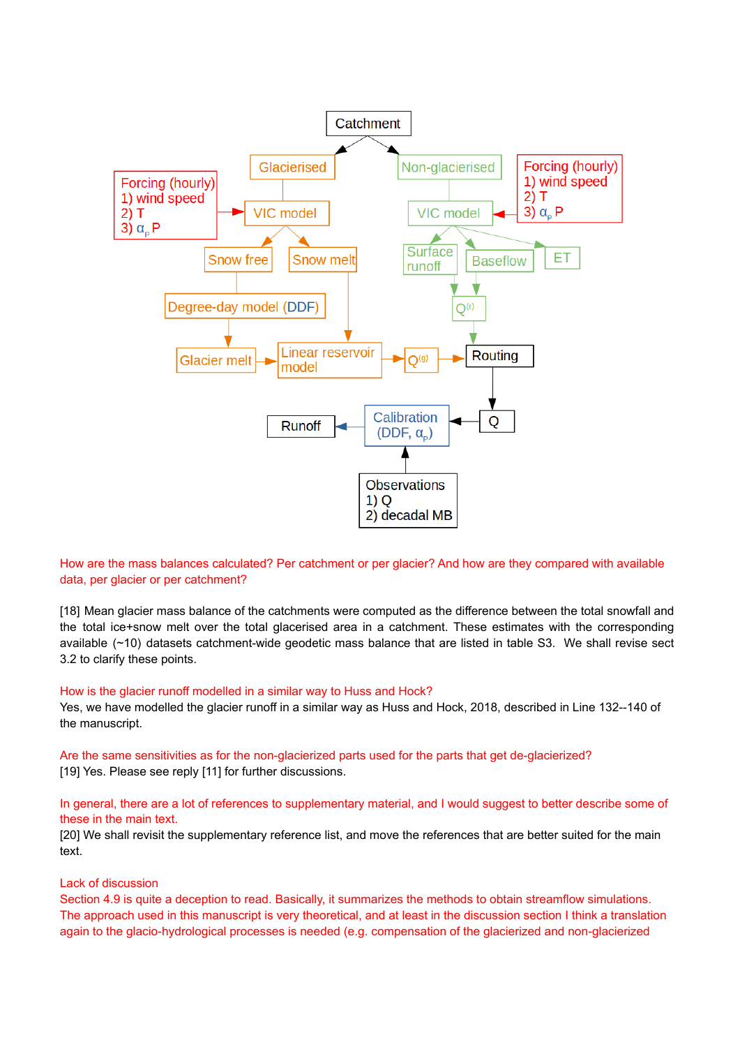

How are the mass balances calculated? Per catchment or per glacier? And how are they compared with available data, per glacier or per catchment?

[18] Mean glacier mass balance of the catchments were computed as the difference between the total snowfall and the total ice+snow melt over the total glacerised area in a catchment. These estimates with the corresponding available (~10) datasets catchment-wide geodetic mass balance that are listed in table S3. We shall revise sect 3.2 to clarify these points.

#### How is the glacier runoff modelled in a similar way to Huss and Hock?

Yes, we have modelled the glacier runoff in a similar way as Huss and Hock, 2018, described in Line 132--140 of the manuscript.

Are the same sensitivities as for the non-glacierized parts used for the parts that get de-glacierized? [19] Yes. Please see reply [11] for further discussions.

# In general, there are a lot of references to supplementary material, and I would suggest to better describe some of these in the main text.

[20] We shall revisit the supplementary reference list, and move the references that are better suited for the main text.

#### Lack of discussion

Section 4.9 is quite a deception to read. Basically, it summarizes the methods to obtain streamflow simulations. The approach used in this manuscript is very theoretical, and at least in the discussion section I think a translation again to the glacio-hydrological processes is needed (e.g. compensation of the glacierized and non-glacierized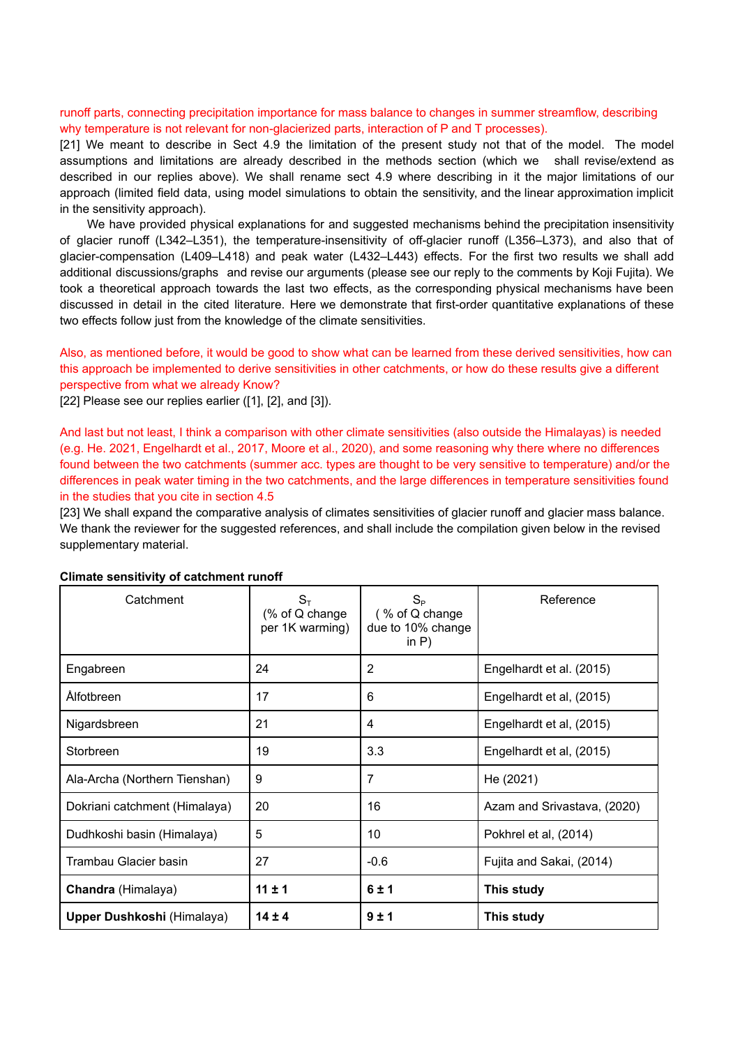# runoff parts, connecting precipitation importance for mass balance to changes in summer streamflow, describing why temperature is not relevant for non-glacierized parts, interaction of P and T processes).

[21] We meant to describe in Sect 4.9 the limitation of the present study not that of the model. The model assumptions and limitations are already described in the methods section (which we shall revise/extend as described in our replies above). We shall rename sect 4.9 where describing in it the major limitations of our approach (limited field data, using model simulations to obtain the sensitivity, and the linear approximation implicit in the sensitivity approach).

We have provided physical explanations for and suggested mechanisms behind the precipitation insensitivity of glacier runoff (L342–L351), the temperature-insensitivity of off-glacier runoff (L356–L373), and also that of glacier-compensation (L409–L418) and peak water (L432–L443) effects. For the first two results we shall add additional discussions/graphs and revise our arguments (please see our reply to the comments by Koji Fujita). We took a theoretical approach towards the last two effects, as the corresponding physical mechanisms have been discussed in detail in the cited literature. Here we demonstrate that first-order quantitative explanations of these two effects follow just from the knowledge of the climate sensitivities.

# Also, as mentioned before, it would be good to show what can be learned from these derived sensitivities, how can this approach be implemented to derive sensitivities in other catchments, or how do these results give a different perspective from what we already Know?

[22] Please see our replies earlier ([1], [2], and [3]).

And last but not least, I think a comparison with other climate sensitivities (also outside the Himalayas) is needed (e.g. He. 2021, Engelhardt et al., 2017, Moore et al., 2020), and some reasoning why there where no differences found between the two catchments (summer acc. types are thought to be very sensitive to temperature) and/or the differences in peak water timing in the two catchments, and the large differences in temperature sensitivities found in the studies that you cite in section 4.5

[23] We shall expand the comparative analysis of climates sensitivities of glacier runoff and glacier mass balance. We thank the reviewer for the suggested references, and shall include the compilation given below in the revised supplementary material.

| Catchment                     | $S_T$<br>(% of Q change<br>per 1K warming) | $S_{\rm P}$<br>(% of Q change<br>due to 10% change<br>in $P$ ) | Reference                   |
|-------------------------------|--------------------------------------------|----------------------------------------------------------------|-----------------------------|
| Engabreen                     | 24                                         | 2                                                              | Engelhardt et al. (2015)    |
| <b>Alfotbreen</b>             | 17                                         | 6                                                              | Engelhardt et al, (2015)    |
| Nigardsbreen                  | 21                                         | 4                                                              | Engelhardt et al, (2015)    |
| Storbreen                     | 19                                         | 3.3                                                            | Engelhardt et al, (2015)    |
| Ala-Archa (Northern Tienshan) | 9                                          | $\overline{7}$                                                 | He (2021)                   |
| Dokriani catchment (Himalaya) | 20                                         | 16                                                             | Azam and Srivastava, (2020) |
| Dudhkoshi basin (Himalaya)    | 5                                          | 10                                                             | Pokhrel et al, (2014)       |
| Trambau Glacier basin         | 27                                         | $-0.6$                                                         | Fujita and Sakai, (2014)    |
| Chandra (Himalaya)            | $11 \pm 1$                                 | 6±1                                                            | This study                  |
| Upper Dushkoshi (Himalaya)    | $14 \pm 4$                                 | 9±1                                                            | This study                  |

#### **Climate sensitivity of catchment runoff**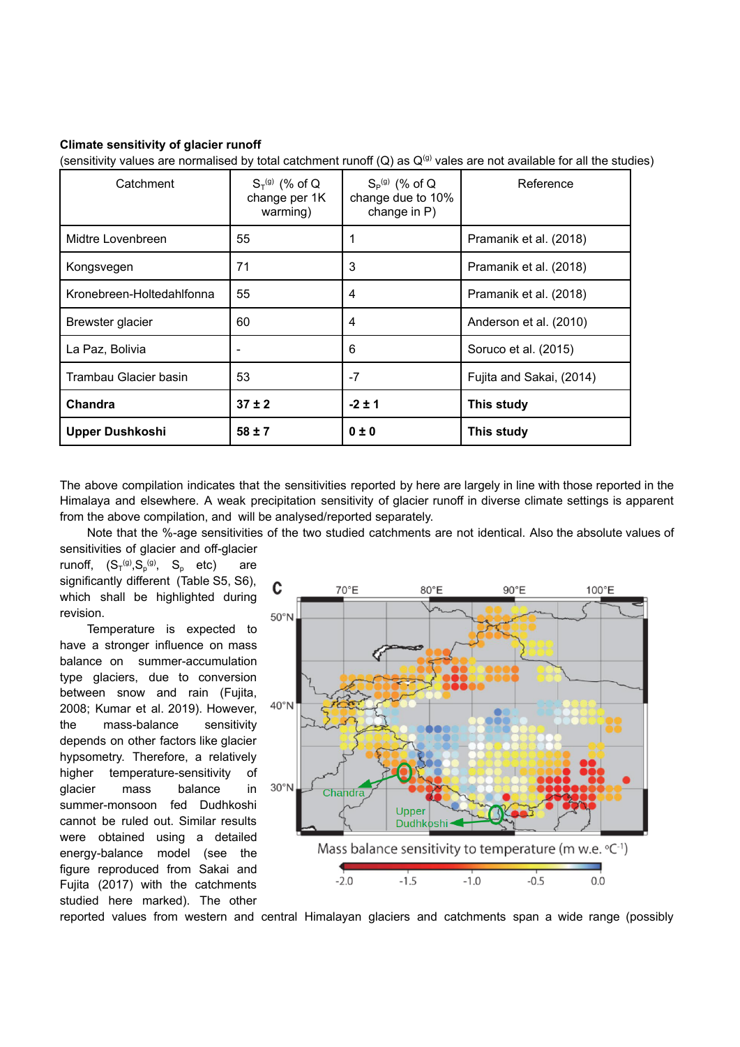#### **Climate sensitivity of glacier runoff**

(sensitivity values are normalised by total catchment runoff  $(Q)$  as  $Q^{(g)}$  vales are not available for all the studies)

| Catchment                 | $S_T^{(g)}$ (% of Q<br>change per 1K<br>warming) | $S_P^{(g)}$ (% of Q<br>change due to 10%<br>change in P) | Reference                |
|---------------------------|--------------------------------------------------|----------------------------------------------------------|--------------------------|
| Midtre Lovenbreen         | 55                                               |                                                          | Pramanik et al. (2018)   |
| Kongsvegen                | 71                                               | 3                                                        | Pramanik et al. (2018)   |
| Kronebreen-Holtedahlfonna | 55                                               | 4                                                        | Pramanik et al. (2018)   |
| Brewster glacier          | 60                                               | 4                                                        | Anderson et al. (2010)   |
| La Paz, Bolivia           |                                                  | 6                                                        | Soruco et al. (2015)     |
| Trambau Glacier basin     | 53                                               | $-7$                                                     | Fujita and Sakai, (2014) |
| Chandra                   | $37 \pm 2$                                       | $-2 \pm 1$                                               | This study               |
| <b>Upper Dushkoshi</b>    | $58 \pm 7$                                       | $0 \pm 0$                                                | This study               |

The above compilation indicates that the sensitivities reported by here are largely in line with those reported in the Himalaya and elsewhere. A weak precipitation sensitivity of glacier runoff in diverse climate settings is apparent from the above compilation, and will be analysed/reported separately.

Note that the %-age sensitivities of the two studied catchments are not identical. Also the absolute values of

sensitivities of glacier and off-glacier runoff,  $(S_T^{(g)}, S_p^{(g)}, S_p$  etc) are significantly different (Table S5, S6), which shall be highlighted during revision.

Temperature is expected to have a stronger influence on mass balance on summer-accumulation type glaciers, due to conversion between snow and rain (Fujita, 2008; Kumar et al. 2019). However, the mass-balance sensitivity depends on other factors like glacier hypsometry. Therefore, a relatively higher temperature-sensitivity of glacier mass balance in summer-monsoon fed Dudhkoshi cannot be ruled out. Similar results were obtained using a detailed energy-balance model (see the figure reproduced from Sakai and Fujita (2017) with the catchments studied here marked). The other



reported values from western and central Himalayan glaciers and catchments span a wide range (possibly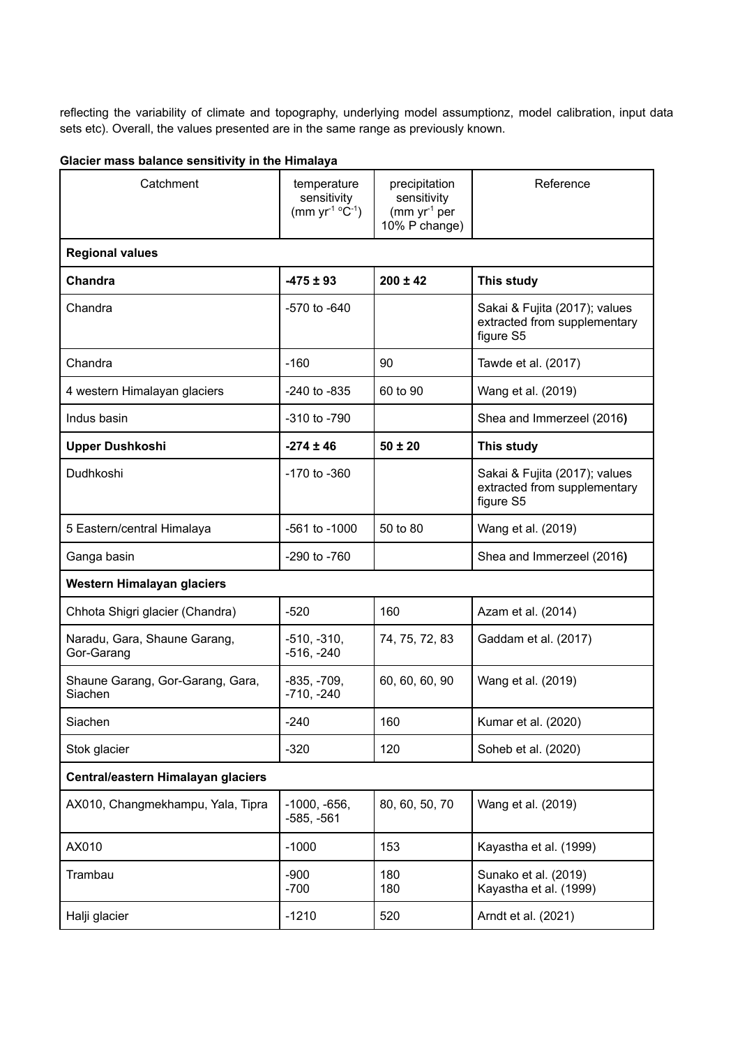reflecting the variability of climate and topography, underlying model assumptionz, model calibration, input data sets etc). Overall, the values presented are in the same range as previously known.

|  | Glacier mass balance sensitivity in the Himalaya |  |  |  |  |  |  |
|--|--------------------------------------------------|--|--|--|--|--|--|
|--|--------------------------------------------------|--|--|--|--|--|--|

| Catchment                                   | temperature<br>sensitivity<br>(mm $yr^{-1}$ °C <sup>-1</sup> ) | precipitation<br>sensitivity<br>(mm yr <sup>1</sup> per<br>10% P change) | Reference                                                                  |
|---------------------------------------------|----------------------------------------------------------------|--------------------------------------------------------------------------|----------------------------------------------------------------------------|
| <b>Regional values</b>                      |                                                                |                                                                          |                                                                            |
| Chandra                                     | $-475 \pm 93$                                                  | $200 \pm 42$                                                             | This study                                                                 |
| Chandra                                     | -570 to -640                                                   |                                                                          | Sakai & Fujita (2017); values<br>extracted from supplementary<br>figure S5 |
| Chandra                                     | $-160$                                                         | 90                                                                       | Tawde et al. (2017)                                                        |
| 4 western Himalayan glaciers                | $-240$ to $-835$                                               | 60 to 90                                                                 | Wang et al. (2019)                                                         |
| Indus basin                                 | -310 to -790                                                   |                                                                          | Shea and Immerzeel (2016)                                                  |
| <b>Upper Dushkoshi</b>                      | $-274 \pm 46$                                                  | $50 \pm 20$                                                              | This study                                                                 |
| Dudhkoshi                                   | $-170$ to $-360$                                               |                                                                          | Sakai & Fujita (2017); values<br>extracted from supplementary<br>figure S5 |
| 5 Eastern/central Himalaya                  | $-561$ to $-1000$                                              | 50 to 80                                                                 | Wang et al. (2019)                                                         |
| Ganga basin                                 | $-290$ to $-760$                                               |                                                                          | Shea and Immerzeel (2016)                                                  |
| Western Himalayan glaciers                  |                                                                |                                                                          |                                                                            |
| Chhota Shigri glacier (Chandra)             | $-520$                                                         | 160                                                                      | Azam et al. (2014)                                                         |
| Naradu, Gara, Shaune Garang,<br>Gor-Garang  | $-510, -310,$<br>$-516, -240$                                  | 74, 75, 72, 83                                                           | Gaddam et al. (2017)                                                       |
| Shaune Garang, Gor-Garang, Gara,<br>Siachen | $-835, -709,$<br>$-710, -240$                                  | 60, 60, 60, 90                                                           | Wang et al. (2019)                                                         |
| Siachen                                     | $-240$                                                         | 160                                                                      | Kumar et al. (2020)                                                        |
| Stok glacier                                | $-320$                                                         | 120                                                                      | Soheb et al. (2020)                                                        |
| Central/eastern Himalayan glaciers          |                                                                |                                                                          |                                                                            |
| AX010, Changmekhampu, Yala, Tipra           | $-1000, -656,$<br>$-585, -561$                                 | 80, 60, 50, 70                                                           | Wang et al. (2019)                                                         |
| AX010                                       | $-1000$                                                        | 153                                                                      | Kayastha et al. (1999)                                                     |
| Trambau                                     | $-900$<br>$-700$                                               | 180<br>180                                                               | Sunako et al. (2019)<br>Kayastha et al. (1999)                             |
| Halji glacier                               | $-1210$                                                        | 520                                                                      | Arndt et al. (2021)                                                        |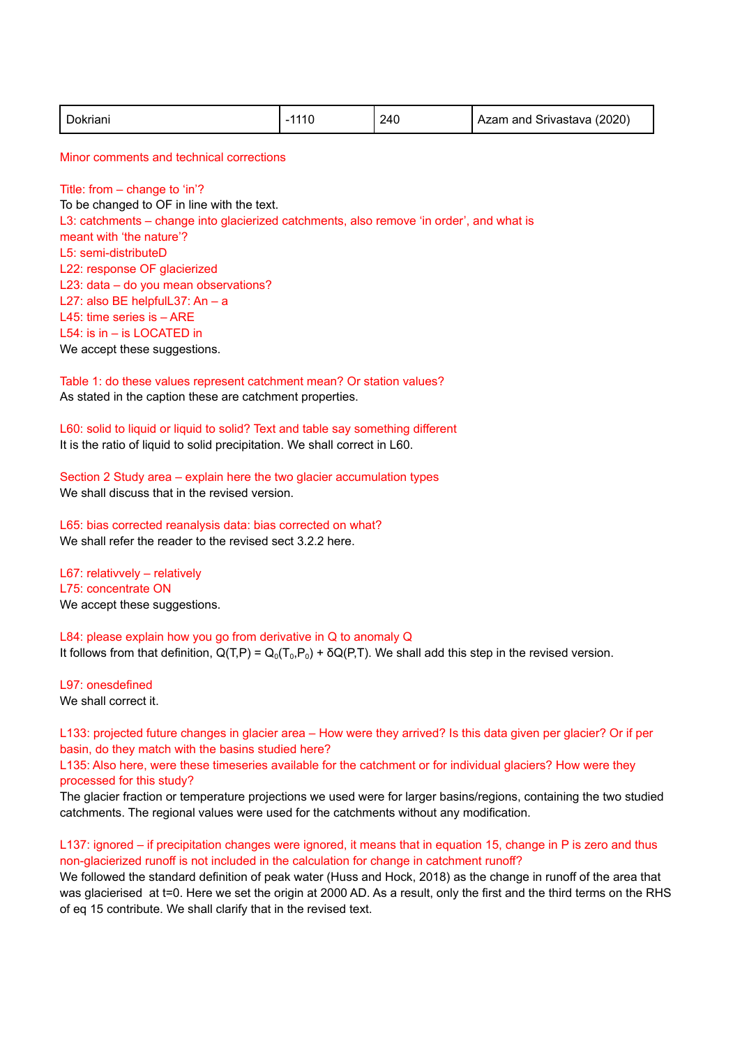| Dokriani | 1110 | 240 | Azam and Srivastava (2020) |
|----------|------|-----|----------------------------|
|          |      |     |                            |

Minor comments and technical corrections

Title: from – change to 'in'? To be changed to OF in line with the text. L3: catchments – change into glacierized catchments, also remove 'in order', and what is meant with 'the nature'? L5: semi-distributeD L22: response OF glacierized L23: data – do you mean observations? L27: also BE helpfulL37: An – a L45: time series is – ARE L54: is in – is LOCATED in We accept these suggestions.

Table 1: do these values represent catchment mean? Or station values? As stated in the caption these are catchment properties.

L60: solid to liquid or liquid to solid? Text and table say something different It is the ratio of liquid to solid precipitation. We shall correct in L60.

Section 2 Study area – explain here the two glacier accumulation types We shall discuss that in the revised version.

L65: bias corrected reanalysis data: bias corrected on what? We shall refer the reader to the revised sect 3.2.2 here.

L67: relativvely – relatively L75: concentrate ON We accept these suggestions.

L84: please explain how you go from derivative in Q to anomaly Q It follows from that definition,  $Q(T, P) = Q_0(T_0, P_0) + \delta Q(P, T)$ . We shall add this step in the revised version.

L97: onesdefined We shall correct it.

L133: projected future changes in glacier area – How were they arrived? Is this data given per glacier? Or if per basin, do they match with the basins studied here?

L135: Also here, were these timeseries available for the catchment or for individual glaciers? How were they processed for this study?

The glacier fraction or temperature projections we used were for larger basins/regions, containing the two studied catchments. The regional values were used for the catchments without any modification.

L137: ignored – if precipitation changes were ignored, it means that in equation 15, change in P is zero and thus non-glacierized runoff is not included in the calculation for change in catchment runoff?

We followed the standard definition of peak water (Huss and Hock, 2018) as the change in runoff of the area that was glacierised at t=0. Here we set the origin at 2000 AD. As a result, only the first and the third terms on the RHS of eq 15 contribute. We shall clarify that in the revised text.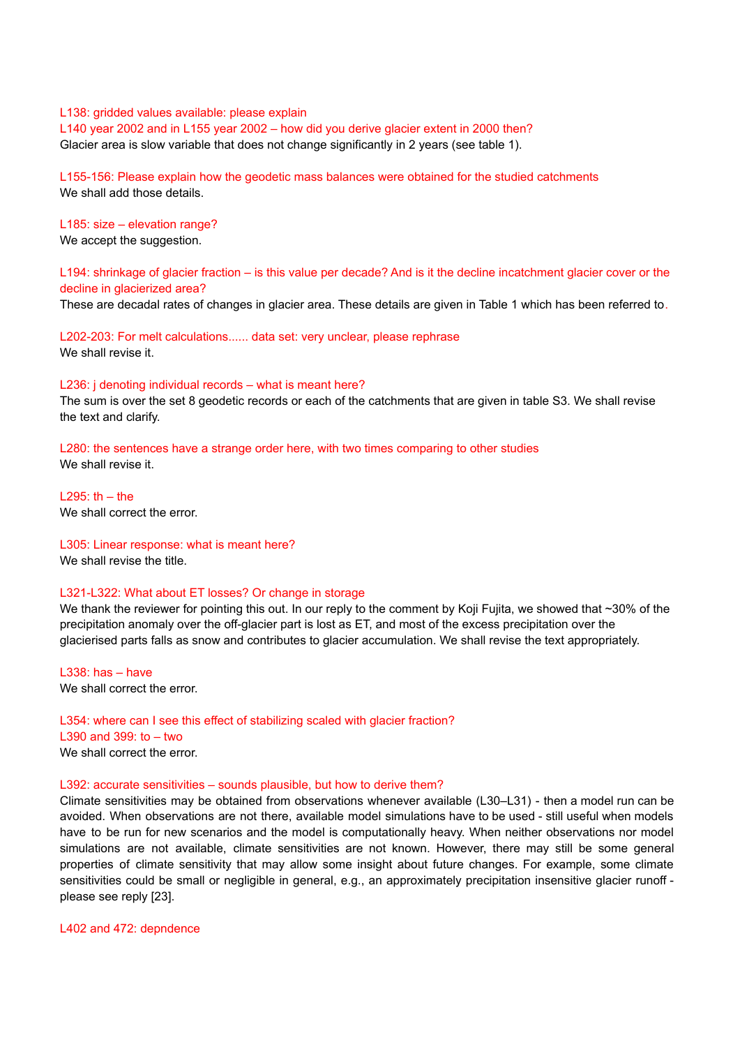#### L138: gridded values available: please explain

L140 year 2002 and in L155 year 2002 – how did you derive glacier extent in 2000 then? Glacier area is slow variable that does not change significantly in 2 years (see table 1).

L155-156: Please explain how the geodetic mass balances were obtained for the studied catchments We shall add those details.

# L185: size – elevation range?

We accept the suggestion.

L194: shrinkage of glacier fraction – is this value per decade? And is it the decline incatchment glacier cover or the decline in glacierized area?

These are decadal rates of changes in glacier area. These details are given in Table 1 which has been referred to.

L202-203: For melt calculations...... data set: very unclear, please rephrase We shall revise it.

#### L236: j denoting individual records – what is meant here?

The sum is over the set 8 geodetic records or each of the catchments that are given in table S3. We shall revise the text and clarify.

L280: the sentences have a strange order here, with two times comparing to other studies We shall revise it.

 $1295:$  th – the We shall correct the error.

# L305: Linear response: what is meant here?

We shall revise the title.

# L321-L322: What about ET losses? Or change in storage

We thank the reviewer for pointing this out. In our reply to the comment by Koii Fujita, we showed that ~30% of the precipitation anomaly over the off-glacier part is lost as ET, and most of the excess precipitation over the glacierised parts falls as snow and contributes to glacier accumulation. We shall revise the text appropriately.

L338: has – have We shall correct the error.

# L354: where can I see this effect of stabilizing scaled with glacier fraction?

L390 and 399: to – two We shall correct the error.

#### L392: accurate sensitivities – sounds plausible, but how to derive them?

Climate sensitivities may be obtained from observations whenever available (L30–L31) - then a model run can be avoided. When observations are not there, available model simulations have to be used - still useful when models have to be run for new scenarios and the model is computationally heavy. When neither observations nor model simulations are not available, climate sensitivities are not known. However, there may still be some general properties of climate sensitivity that may allow some insight about future changes. For example, some climate sensitivities could be small or negligible in general, e.g., an approximately precipitation insensitive glacier runoff please see reply [23].

#### L402 and 472: depndence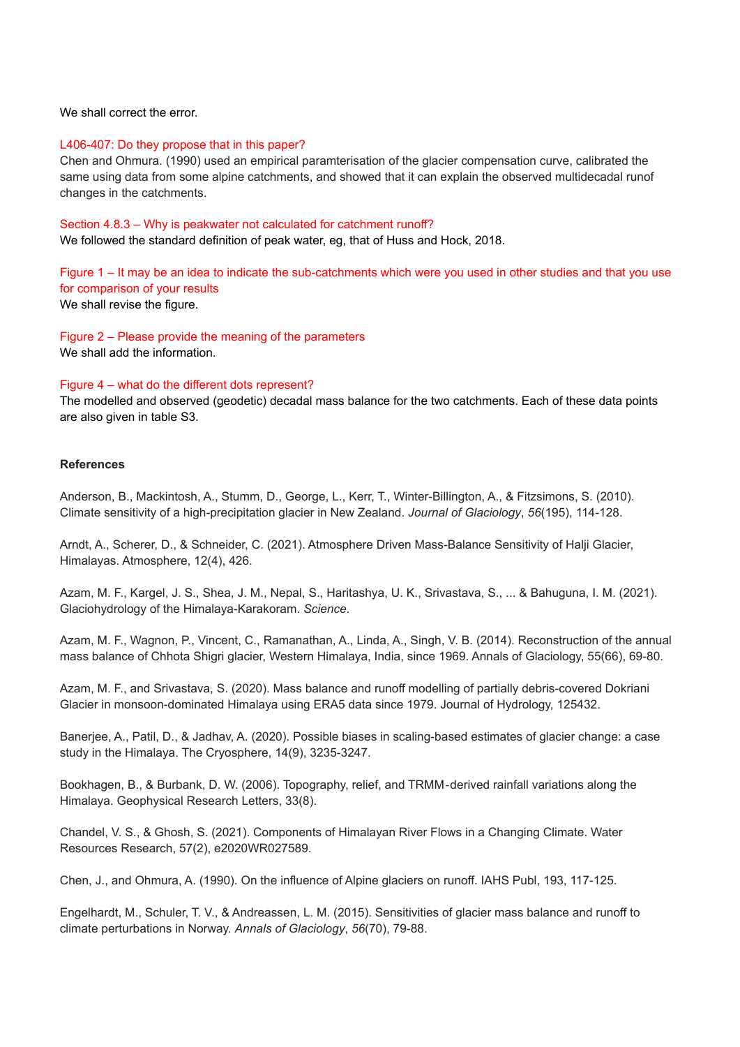### We shall correct the error.

#### L406-407: Do they propose that in this paper?

Chen and Ohmura. (1990) used an empirical paramterisation of the glacier compensation curve, calibrated the same using data from some alpine catchments, and showed that it can explain the observed multidecadal runof changes in the catchments.

#### Section 4.8.3 – Why is peakwater not calculated for catchment runoff?

We followed the standard definition of peak water, eg, that of Huss and Hock, 2018.

Figure 1 – It may be an idea to indicate the sub-catchments which were you used in other studies and that you use for comparison of your results We shall revise the figure.

Figure 2 – Please provide the meaning of the parameters We shall add the information.

# Figure 4 – what do the different dots represent?

The modelled and observed (geodetic) decadal mass balance for the two catchments. Each of these data points are also given in table S3.

# **References**

Anderson, B., Mackintosh, A., Stumm, D., George, L., Kerr, T., Winter-Billington, A., & Fitzsimons, S. (2010). Climate sensitivity of a high-precipitation glacier in New Zealand. *Journal of Glaciology*, *56*(195), 114-128.

Arndt, A., Scherer, D., & Schneider, C. (2021). Atmosphere Driven Mass-Balance Sensitivity of Halji Glacier, Himalayas. Atmosphere, 12(4), 426.

Azam, M. F., Kargel, J. S., Shea, J. M., Nepal, S., Haritashya, U. K., Srivastava, S., ... & Bahuguna, I. M. (2021). Glaciohydrology of the Himalaya-Karakoram. *Science*.

Azam, M. F., Wagnon, P., Vincent, C., Ramanathan, A., Linda, A., Singh, V. B. (2014). Reconstruction of the annual mass balance of Chhota Shigri glacier, Western Himalaya, India, since 1969. Annals of Glaciology, 55(66), 69-80.

Azam, M. F., and Srivastava, S. (2020). Mass balance and runoff modelling of partially debris-covered Dokriani Glacier in monsoon-dominated Himalaya using ERA5 data since 1979. Journal of Hydrology, 125432.

Banerjee, A., Patil, D., & Jadhav, A. (2020). Possible biases in scaling-based estimates of glacier change: a case study in the Himalaya. The Cryosphere, 14(9), 3235-3247.

Bookhagen, B., & Burbank, D. W. (2006). Topography, relief, and TRMM‐derived rainfall variations along the Himalaya. Geophysical Research Letters, 33(8).

Chandel, V. S., & Ghosh, S. (2021). Components of Himalayan River Flows in a Changing Climate. Water Resources Research, 57(2), e2020WR027589.

Chen, J., and Ohmura, A. (1990). On the influence of Alpine glaciers on runoff. IAHS Publ, 193, 117-125.

Engelhardt, M., Schuler, T. V., & Andreassen, L. M. (2015). Sensitivities of glacier mass balance and runoff to climate perturbations in Norway. *Annals of Glaciology*, *56*(70), 79-88.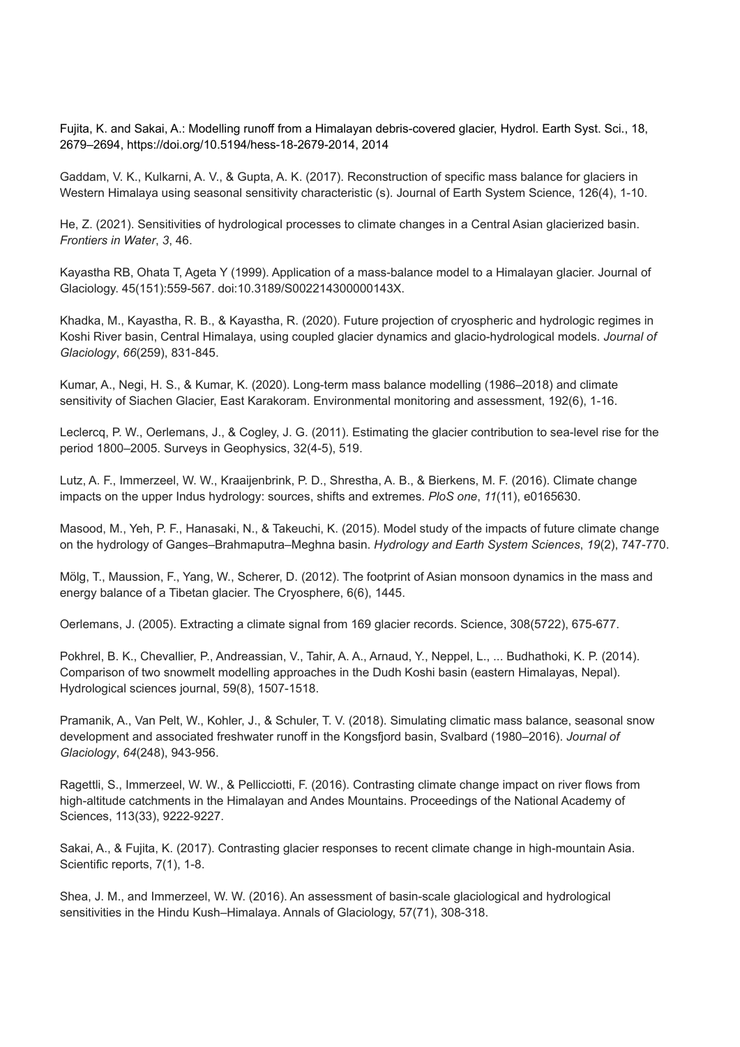Fujita, K. and Sakai, A.: Modelling runoff from a Himalayan debris-covered glacier, Hydrol. Earth Syst. Sci., 18, 2679–2694, https://doi.org/10.5194/hess-18-2679-2014, 2014

Gaddam, V. K., Kulkarni, A. V., & Gupta, A. K. (2017). Reconstruction of specific mass balance for glaciers in Western Himalaya using seasonal sensitivity characteristic (s). Journal of Earth System Science, 126(4), 1-10.

He, Z. (2021). Sensitivities of hydrological processes to climate changes in a Central Asian glacierized basin. *Frontiers in Water*, *3*, 46.

Kayastha RB, Ohata T, Ageta Y (1999). Application of a mass-balance model to a Himalayan glacier. Journal of Glaciology. 45(151):559-567. doi:10.3189/S002214300000143X.

Khadka, M., Kayastha, R. B., & Kayastha, R. (2020). Future projection of cryospheric and hydrologic regimes in Koshi River basin, Central Himalaya, using coupled glacier dynamics and glacio-hydrological models. *Journal of Glaciology*, *66*(259), 831-845.

Kumar, A., Negi, H. S., & Kumar, K. (2020). Long-term mass balance modelling (1986–2018) and climate sensitivity of Siachen Glacier, East Karakoram. Environmental monitoring and assessment, 192(6), 1-16.

Leclercq, P. W., Oerlemans, J., & Cogley, J. G. (2011). Estimating the glacier contribution to sea-level rise for the period 1800–2005. Surveys in Geophysics, 32(4-5), 519.

Lutz, A. F., Immerzeel, W. W., Kraaijenbrink, P. D., Shrestha, A. B., & Bierkens, M. F. (2016). Climate change impacts on the upper Indus hydrology: sources, shifts and extremes. *PloS one*, *11*(11), e0165630.

Masood, M., Yeh, P. F., Hanasaki, N., & Takeuchi, K. (2015). Model study of the impacts of future climate change on the hydrology of Ganges–Brahmaputra–Meghna basin. *Hydrology and Earth System Sciences*, *19*(2), 747-770.

Mölg, T., Maussion, F., Yang, W., Scherer, D. (2012). The footprint of Asian monsoon dynamics in the mass and energy balance of a Tibetan glacier. The Cryosphere, 6(6), 1445.

Oerlemans, J. (2005). Extracting a climate signal from 169 glacier records. Science, 308(5722), 675-677.

Pokhrel, B. K., Chevallier, P., Andreassian, V., Tahir, A. A., Arnaud, Y., Neppel, L., ... Budhathoki, K. P. (2014). Comparison of two snowmelt modelling approaches in the Dudh Koshi basin (eastern Himalayas, Nepal). Hydrological sciences journal, 59(8), 1507-1518.

Pramanik, A., Van Pelt, W., Kohler, J., & Schuler, T. V. (2018). Simulating climatic mass balance, seasonal snow development and associated freshwater runoff in the Kongsfjord basin, Svalbard (1980–2016). *Journal of Glaciology*, *64*(248), 943-956.

Ragettli, S., Immerzeel, W. W., & Pellicciotti, F. (2016). Contrasting climate change impact on river flows from high-altitude catchments in the Himalayan and Andes Mountains. Proceedings of the National Academy of Sciences, 113(33), 9222-9227.

Sakai, A., & Fujita, K. (2017). Contrasting glacier responses to recent climate change in high-mountain Asia. Scientific reports, 7(1), 1-8.

Shea, J. M., and Immerzeel, W. W. (2016). An assessment of basin-scale glaciological and hydrological sensitivities in the Hindu Kush–Himalaya. Annals of Glaciology, 57(71), 308-318.